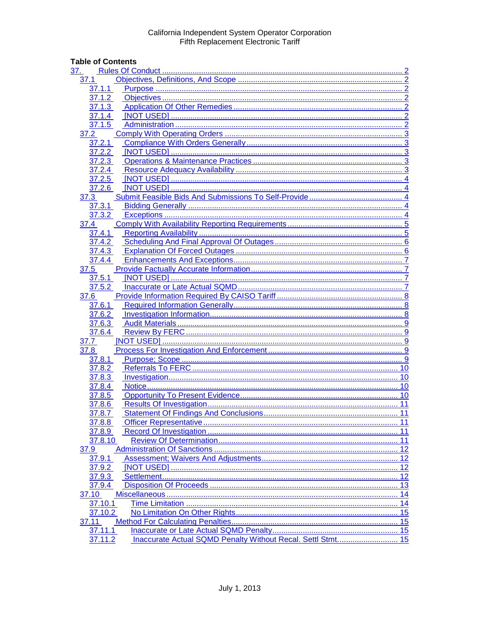# **Table of Contents**

| 37.           |     |
|---------------|-----|
| 37.1          |     |
| 37.1.1        |     |
| 37.1.2        |     |
| 37.1.3        |     |
| 37.1.4        | . 2 |
| 37.1.5<br>. 2 |     |
| 37.2          |     |
| 37.2.1        |     |
| 37.2.2        |     |
| 37.2.3        |     |
| 37.2.4        |     |
| 37.2.5        |     |
| 37.2.6        |     |
| 37.3          |     |
| 37.3.1        |     |
|               |     |
| 37.3.2        |     |
| 37.4          |     |
| 37.4.1        |     |
|               |     |
|               |     |
|               |     |
| 37.5          |     |
| 37.5.1        |     |
| 37.5.2        |     |
| 37.6          |     |
| 37.6.1        |     |
| 37.6.2        |     |
| 37.6.3        |     |
| 37.6.4        |     |
| 37.7          |     |
| 37.8          |     |
| 37.8.1        |     |
| 37.8.2        |     |
| 37.8.3        |     |
| 37.8.4        |     |
| 37.8.5        |     |
| 37.8.6        |     |
| 37.8.7        |     |
| 37.8.8        | 11  |
| 37.8.9        |     |
| 37.8.10       |     |
| 37.9          | 12  |
| 37.9.1        | 12  |
|               | 12  |
| 37.9.2        | 12  |
| 37.9.3        |     |
| 37.9.4        |     |
| 37.10         | 14  |
| 37.10.1       | 14  |
| 37.10.2       |     |
| 37.11         |     |
| 37.11.1       |     |
| 37.11.2       |     |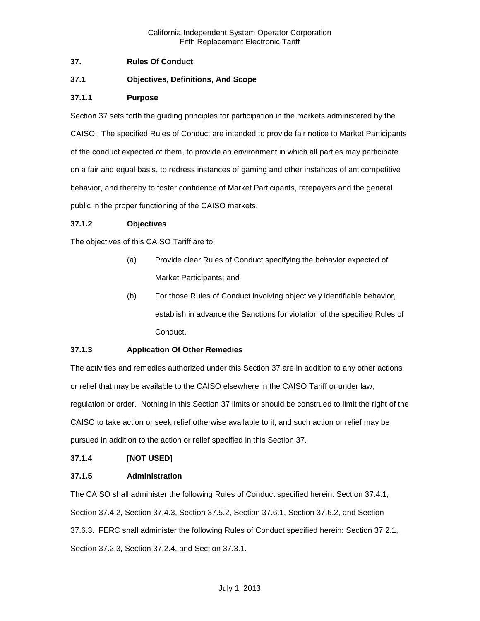## <span id="page-1-0"></span>**37. Rules Of Conduct**

## <span id="page-1-1"></span>**37.1 Objectives, Definitions, And Scope**

## <span id="page-1-2"></span>**37.1.1 Purpose**

Section 37 sets forth the guiding principles for participation in the markets administered by the CAISO. The specified Rules of Conduct are intended to provide fair notice to Market Participants of the conduct expected of them, to provide an environment in which all parties may participate on a fair and equal basis, to redress instances of gaming and other instances of anticompetitive behavior, and thereby to foster confidence of Market Participants, ratepayers and the general public in the proper functioning of the CAISO markets.

#### <span id="page-1-3"></span>**37.1.2 Objectives**

The objectives of this CAISO Tariff are to:

- (a) Provide clear Rules of Conduct specifying the behavior expected of Market Participants; and
- (b) For those Rules of Conduct involving objectively identifiable behavior, establish in advance the Sanctions for violation of the specified Rules of Conduct.

#### <span id="page-1-4"></span>**37.1.3 Application Of Other Remedies**

The activities and remedies authorized under this Section 37 are in addition to any other actions or relief that may be available to the CAISO elsewhere in the CAISO Tariff or under law, regulation or order. Nothing in this Section 37 limits or should be construed to limit the right of the CAISO to take action or seek relief otherwise available to it, and such action or relief may be pursued in addition to the action or relief specified in this Section 37.

#### <span id="page-1-5"></span>**37.1.4 [NOT USED]**

#### <span id="page-1-6"></span>**37.1.5 Administration**

The CAISO shall administer the following Rules of Conduct specified herein: Section 37.4.1, Section 37.4.2, Section 37.4.3, Section 37.5.2, Section 37.6.1, Section 37.6.2, and Section 37.6.3. FERC shall administer the following Rules of Conduct specified herein: Section 37.2.1, Section 37.2.3, Section 37.2.4, and Section 37.3.1.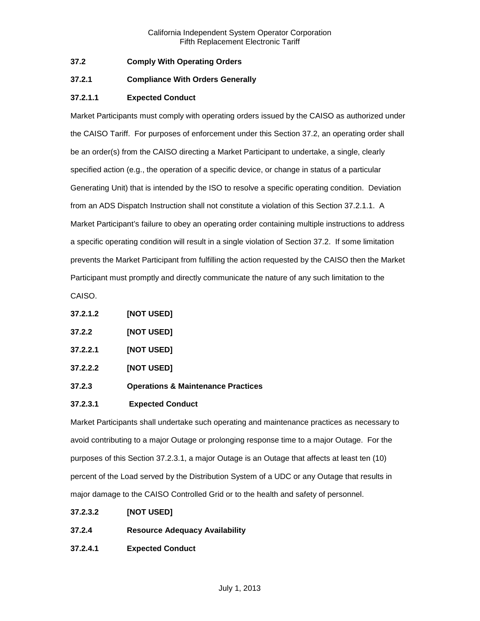## <span id="page-2-0"></span>**37.2 Comply With Operating Orders**

## <span id="page-2-1"></span>**37.2.1 Compliance With Orders Generally**

## **37.2.1.1 Expected Conduct**

Market Participants must comply with operating orders issued by the CAISO as authorized under the CAISO Tariff. For purposes of enforcement under this Section 37.2, an operating order shall be an order(s) from the CAISO directing a Market Participant to undertake, a single, clearly specified action (e.g., the operation of a specific device, or change in status of a particular Generating Unit) that is intended by the ISO to resolve a specific operating condition. Deviation from an ADS Dispatch Instruction shall not constitute a violation of this Section 37.2.1.1. A Market Participant's failure to obey an operating order containing multiple instructions to address a specific operating condition will result in a single violation of Section 37.2. If some limitation prevents the Market Participant from fulfilling the action requested by the CAISO then the Market Participant must promptly and directly communicate the nature of any such limitation to the

CAISO.

| 37.2.1.2 | [NOT USED] |
|----------|------------|
|----------|------------|

- <span id="page-2-2"></span>**37.2.2 [NOT USED]**
- **37.2.2.1 [NOT USED]**
- **37.2.2.2 [NOT USED]**
- <span id="page-2-3"></span>**37.2.3 Operations & Maintenance Practices**

#### **37.2.3.1 Expected Conduct**

Market Participants shall undertake such operating and maintenance practices as necessary to avoid contributing to a major Outage or prolonging response time to a major Outage. For the purposes of this Section 37.2.3.1, a major Outage is an Outage that affects at least ten (10) percent of the Load served by the Distribution System of a UDC or any Outage that results in major damage to the CAISO Controlled Grid or to the health and safety of personnel.

- **37.2.3.2 [NOT USED]**
- <span id="page-2-4"></span>**37.2.4 Resource Adequacy Availability**
- **37.2.4.1 Expected Conduct**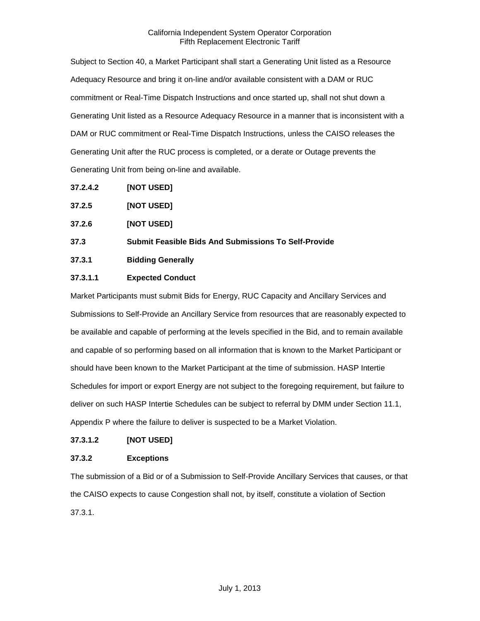Subject to Section 40, a Market Participant shall start a Generating Unit listed as a Resource Adequacy Resource and bring it on-line and/or available consistent with a DAM or RUC commitment or Real-Time Dispatch Instructions and once started up, shall not shut down a Generating Unit listed as a Resource Adequacy Resource in a manner that is inconsistent with a DAM or RUC commitment or Real-Time Dispatch Instructions, unless the CAISO releases the Generating Unit after the RUC process is completed, or a derate or Outage prevents the Generating Unit from being on-line and available.

**37.2.4.2 [NOT USED]**

<span id="page-3-0"></span>

| 37.2.5 | [NOT USED] |
|--------|------------|
|--------|------------|

<span id="page-3-1"></span>**37.2.6 [NOT USED]**

<span id="page-3-2"></span>**37.3 Submit Feasible Bids And Submissions To Self-Provide**

<span id="page-3-3"></span>**37.3.1 Bidding Generally**

## **37.3.1.1 Expected Conduct**

Market Participants must submit Bids for Energy, RUC Capacity and Ancillary Services and Submissions to Self-Provide an Ancillary Service from resources that are reasonably expected to be available and capable of performing at the levels specified in the Bid, and to remain available and capable of so performing based on all information that is known to the Market Participant or should have been known to the Market Participant at the time of submission. HASP Intertie Schedules for import or export Energy are not subject to the foregoing requirement, but failure to deliver on such HASP Intertie Schedules can be subject to referral by DMM under Section 11.1, Appendix P where the failure to deliver is suspected to be a Market Violation.

#### **37.3.1.2 [NOT USED]**

## <span id="page-3-4"></span>**37.3.2 Exceptions**

The submission of a Bid or of a Submission to Self-Provide Ancillary Services that causes, or that the CAISO expects to cause Congestion shall not, by itself, constitute a violation of Section 37.3.1.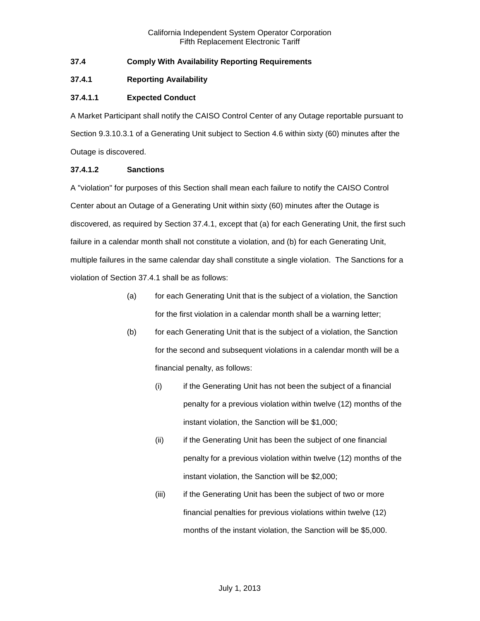## <span id="page-4-0"></span>**37.4 Comply With Availability Reporting Requirements**

### <span id="page-4-1"></span>**37.4.1 Reporting Availability**

## **37.4.1.1 Expected Conduct**

A Market Participant shall notify the CAISO Control Center of any Outage reportable pursuant to Section 9.3.10.3.1 of a Generating Unit subject to Section 4.6 within sixty (60) minutes after the Outage is discovered.

#### **37.4.1.2 Sanctions**

A "violation" for purposes of this Section shall mean each failure to notify the CAISO Control Center about an Outage of a Generating Unit within sixty (60) minutes after the Outage is discovered, as required by Section 37.4.1, except that (a) for each Generating Unit, the first such failure in a calendar month shall not constitute a violation, and (b) for each Generating Unit, multiple failures in the same calendar day shall constitute a single violation. The Sanctions for a violation of Section 37.4.1 shall be as follows:

- (a) for each Generating Unit that is the subject of a violation, the Sanction for the first violation in a calendar month shall be a warning letter;
- (b) for each Generating Unit that is the subject of a violation, the Sanction for the second and subsequent violations in a calendar month will be a financial penalty, as follows:
	- (i) if the Generating Unit has not been the subject of a financial penalty for a previous violation within twelve (12) months of the instant violation, the Sanction will be \$1,000;
	- (ii) if the Generating Unit has been the subject of one financial penalty for a previous violation within twelve (12) months of the instant violation, the Sanction will be \$2,000;
	- (iii) if the Generating Unit has been the subject of two or more financial penalties for previous violations within twelve (12) months of the instant violation, the Sanction will be \$5,000.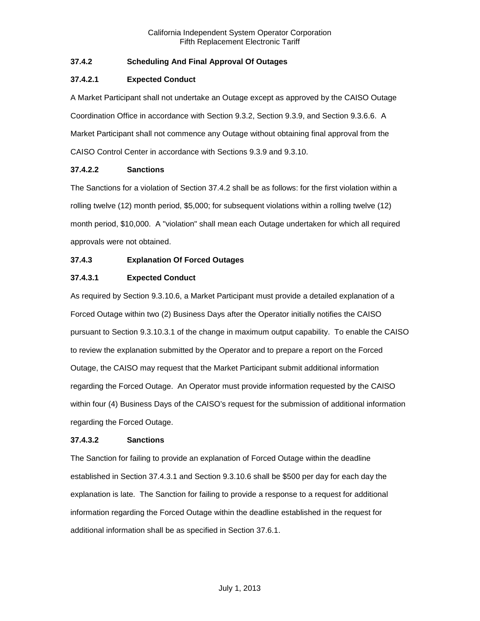# <span id="page-5-0"></span>**37.4.2 Scheduling And Final Approval Of Outages**

## **37.4.2.1 Expected Conduct**

A Market Participant shall not undertake an Outage except as approved by the CAISO Outage Coordination Office in accordance with Section 9.3.2, Section 9.3.9, and Section 9.3.6.6. A Market Participant shall not commence any Outage without obtaining final approval from the CAISO Control Center in accordance with Sections 9.3.9 and 9.3.10.

## **37.4.2.2 Sanctions**

The Sanctions for a violation of Section 37.4.2 shall be as follows: for the first violation within a rolling twelve (12) month period, \$5,000; for subsequent violations within a rolling twelve (12) month period, \$10,000. A "violation" shall mean each Outage undertaken for which all required approvals were not obtained.

## <span id="page-5-1"></span>**37.4.3 Explanation Of Forced Outages**

# **37.4.3.1 Expected Conduct**

As required by Section 9.3.10.6, a Market Participant must provide a detailed explanation of a Forced Outage within two (2) Business Days after the Operator initially notifies the CAISO pursuant to Section 9.3.10.3.1 of the change in maximum output capability. To enable the CAISO to review the explanation submitted by the Operator and to prepare a report on the Forced Outage, the CAISO may request that the Market Participant submit additional information regarding the Forced Outage. An Operator must provide information requested by the CAISO within four (4) Business Days of the CAISO's request for the submission of additional information regarding the Forced Outage.

## **37.4.3.2 Sanctions**

The Sanction for failing to provide an explanation of Forced Outage within the deadline established in Section 37.4.3.1 and Section 9.3.10.6 shall be \$500 per day for each day the explanation is late. The Sanction for failing to provide a response to a request for additional information regarding the Forced Outage within the deadline established in the request for additional information shall be as specified in Section 37.6.1.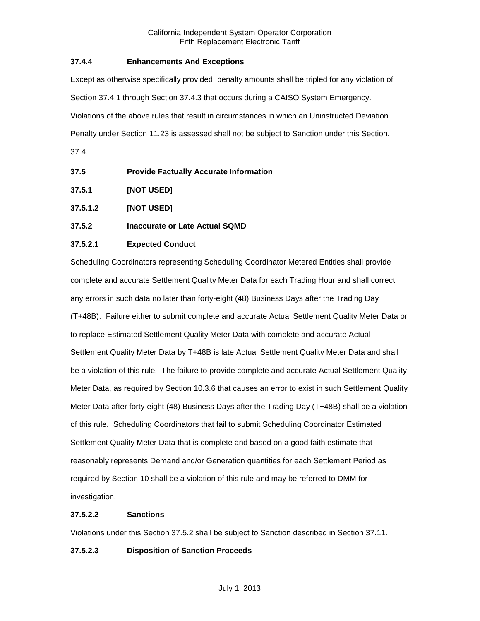## <span id="page-6-0"></span>**37.4.4 Enhancements And Exceptions**

Except as otherwise specifically provided, penalty amounts shall be tripled for any violation of Section 37.4.1 through Section 37.4.3 that occurs during a CAISO System Emergency. Violations of the above rules that result in circumstances in which an Uninstructed Deviation Penalty under Section 11.23 is assessed shall not be subject to Sanction under this Section.

37.4.

- <span id="page-6-1"></span>**37.5 Provide Factually Accurate Information**
- <span id="page-6-2"></span>**37.5.1 [NOT USED]**
- **37.5.1.2 [NOT USED]**
- <span id="page-6-3"></span>**37.5.2 Inaccurate or Late Actual SQMD**

## **37.5.2.1 Expected Conduct**

Scheduling Coordinators representing Scheduling Coordinator Metered Entities shall provide complete and accurate Settlement Quality Meter Data for each Trading Hour and shall correct any errors in such data no later than forty-eight (48) Business Days after the Trading Day (T+48B). Failure either to submit complete and accurate Actual Settlement Quality Meter Data or to replace Estimated Settlement Quality Meter Data with complete and accurate Actual Settlement Quality Meter Data by T+48B is late Actual Settlement Quality Meter Data and shall be a violation of this rule. The failure to provide complete and accurate Actual Settlement Quality Meter Data, as required by Section 10.3.6 that causes an error to exist in such Settlement Quality Meter Data after forty-eight (48) Business Days after the Trading Day (T+48B) shall be a violation of this rule. Scheduling Coordinators that fail to submit Scheduling Coordinator Estimated Settlement Quality Meter Data that is complete and based on a good faith estimate that reasonably represents Demand and/or Generation quantities for each Settlement Period as required by Section 10 shall be a violation of this rule and may be referred to DMM for investigation.

#### **37.5.2.2 Sanctions**

Violations under this Section 37.5.2 shall be subject to Sanction described in Section 37.11.

#### **37.5.2.3 Disposition of Sanction Proceeds**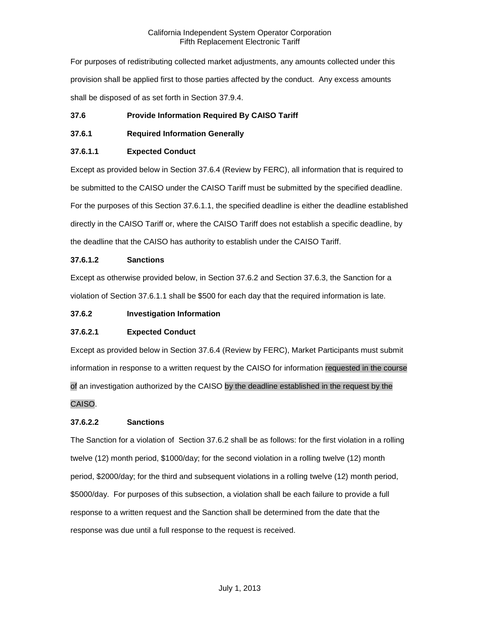For purposes of redistributing collected market adjustments, any amounts collected under this provision shall be applied first to those parties affected by the conduct. Any excess amounts shall be disposed of as set forth in Section 37.9.4.

# <span id="page-7-0"></span>**37.6 Provide Information Required By CAISO Tariff**

## <span id="page-7-1"></span>**37.6.1 Required Information Generally**

# **37.6.1.1 Expected Conduct**

Except as provided below in Section 37.6.4 (Review by FERC), all information that is required to be submitted to the CAISO under the CAISO Tariff must be submitted by the specified deadline. For the purposes of this Section 37.6.1.1, the specified deadline is either the deadline established directly in the CAISO Tariff or, where the CAISO Tariff does not establish a specific deadline, by the deadline that the CAISO has authority to establish under the CAISO Tariff.

## **37.6.1.2 Sanctions**

Except as otherwise provided below, in Section 37.6.2 and Section 37.6.3, the Sanction for a violation of Section 37.6.1.1 shall be \$500 for each day that the required information is late.

# <span id="page-7-2"></span>**37.6.2 Investigation Information**

# **37.6.2.1 Expected Conduct**

Except as provided below in Section 37.6.4 (Review by FERC), Market Participants must submit information in response to a written request by the CAISO for information requested in the course of an investigation authorized by the CAISO by the deadline established in the request by the CAISO.

## **37.6.2.2 Sanctions**

The Sanction for a violation of Section 37.6.2 shall be as follows: for the first violation in a rolling twelve (12) month period, \$1000/day; for the second violation in a rolling twelve (12) month period, \$2000/day; for the third and subsequent violations in a rolling twelve (12) month period, \$5000/day. For purposes of this subsection, a violation shall be each failure to provide a full response to a written request and the Sanction shall be determined from the date that the response was due until a full response to the request is received.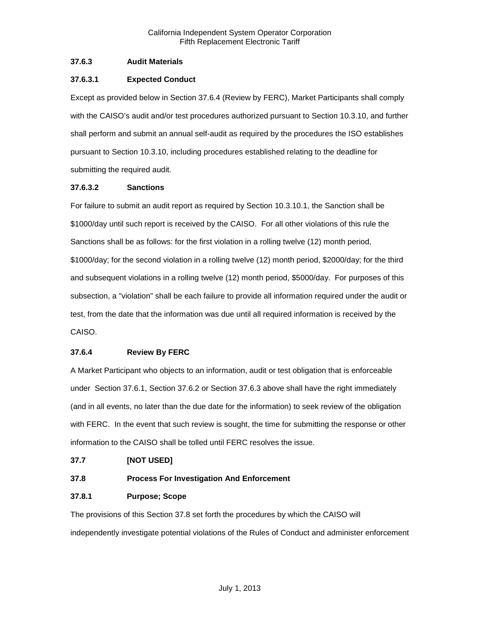## <span id="page-8-0"></span>**37.6.3 Audit Materials**

## **37.6.3.1 Expected Conduct**

Except as provided below in Section 37.6.4 (Review by FERC), Market Participants shall comply with the CAISO's audit and/or test procedures authorized pursuant to Section 10.3.10, and further shall perform and submit an annual self-audit as required by the procedures the ISO establishes pursuant to Section 10.3.10, including procedures established relating to the deadline for submitting the required audit.

## **37.6.3.2 Sanctions**

For failure to submit an audit report as required by Section 10.3.10.1, the Sanction shall be \$1000/day until such report is received by the CAISO. For all other violations of this rule the Sanctions shall be as follows: for the first violation in a rolling twelve (12) month period, \$1000/day; for the second violation in a rolling twelve (12) month period, \$2000/day; for the third and subsequent violations in a rolling twelve (12) month period, \$5000/day. For purposes of this subsection, a "violation" shall be each failure to provide all information required under the audit or test, from the date that the information was due until all required information is received by the CAISO.

#### <span id="page-8-1"></span>**37.6.4 Review By FERC**

A Market Participant who objects to an information, audit or test obligation that is enforceable under Section 37.6.1, Section 37.6.2 or Section 37.6.3 above shall have the right immediately (and in all events, no later than the due date for the information) to seek review of the obligation with FERC. In the event that such review is sought, the time for submitting the response or other information to the CAISO shall be tolled until FERC resolves the issue.

## <span id="page-8-2"></span>**37.7 [NOT USED]**

## <span id="page-8-3"></span>**37.8 Process For Investigation And Enforcement**

## <span id="page-8-4"></span>**37.8.1 Purpose; Scope**

The provisions of this Section 37.8 set forth the procedures by which the CAISO will independently investigate potential violations of the Rules of Conduct and administer enforcement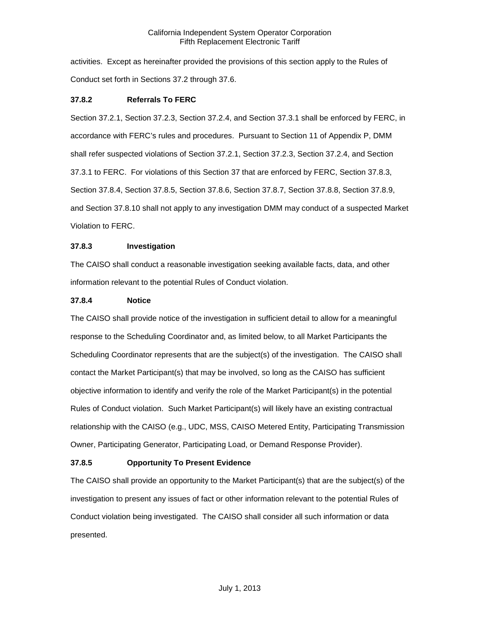activities. Except as hereinafter provided the provisions of this section apply to the Rules of Conduct set forth in Sections 37.2 through 37.6.

## <span id="page-9-0"></span>**37.8.2 Referrals To FERC**

Section 37.2.1, Section 37.2.3, Section 37.2.4, and Section 37.3.1 shall be enforced by FERC, in accordance with FERC's rules and procedures. Pursuant to Section 11 of Appendix P, DMM shall refer suspected violations of Section 37.2.1, Section 37.2.3, Section 37.2.4, and Section 37.3.1 to FERC. For violations of this Section 37 that are enforced by FERC, Section 37.8.3, Section 37.8.4, Section 37.8.5, Section 37.8.6, Section 37.8.7, Section 37.8.8, Section 37.8.9, and Section 37.8.10 shall not apply to any investigation DMM may conduct of a suspected Market Violation to FERC.

#### <span id="page-9-1"></span>**37.8.3 Investigation**

The CAISO shall conduct a reasonable investigation seeking available facts, data, and other information relevant to the potential Rules of Conduct violation.

#### <span id="page-9-2"></span>**37.8.4 Notice**

The CAISO shall provide notice of the investigation in sufficient detail to allow for a meaningful response to the Scheduling Coordinator and, as limited below, to all Market Participants the Scheduling Coordinator represents that are the subject(s) of the investigation. The CAISO shall contact the Market Participant(s) that may be involved, so long as the CAISO has sufficient objective information to identify and verify the role of the Market Participant(s) in the potential Rules of Conduct violation. Such Market Participant(s) will likely have an existing contractual relationship with the CAISO (e.g., UDC, MSS, CAISO Metered Entity, Participating Transmission Owner, Participating Generator, Participating Load, or Demand Response Provider).

## <span id="page-9-3"></span>**37.8.5 Opportunity To Present Evidence**

The CAISO shall provide an opportunity to the Market Participant(s) that are the subject(s) of the investigation to present any issues of fact or other information relevant to the potential Rules of Conduct violation being investigated. The CAISO shall consider all such information or data presented.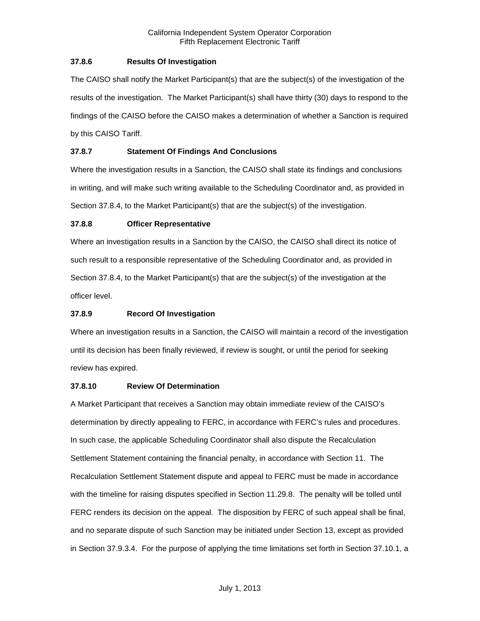## <span id="page-10-0"></span>**37.8.6 Results Of Investigation**

The CAISO shall notify the Market Participant(s) that are the subject(s) of the investigation of the results of the investigation. The Market Participant(s) shall have thirty (30) days to respond to the findings of the CAISO before the CAISO makes a determination of whether a Sanction is required by this CAISO Tariff.

## <span id="page-10-1"></span>**37.8.7 Statement Of Findings And Conclusions**

Where the investigation results in a Sanction, the CAISO shall state its findings and conclusions in writing, and will make such writing available to the Scheduling Coordinator and, as provided in Section 37.8.4, to the Market Participant(s) that are the subject(s) of the investigation.

## <span id="page-10-2"></span>**37.8.8 Officer Representative**

Where an investigation results in a Sanction by the CAISO, the CAISO shall direct its notice of such result to a responsible representative of the Scheduling Coordinator and, as provided in Section 37.8.4, to the Market Participant(s) that are the subject(s) of the investigation at the officer level.

## <span id="page-10-3"></span>**37.8.9 Record Of Investigation**

Where an investigation results in a Sanction, the CAISO will maintain a record of the investigation until its decision has been finally reviewed, if review is sought, or until the period for seeking review has expired.

## <span id="page-10-4"></span>**37.8.10 Review Of Determination**

A Market Participant that receives a Sanction may obtain immediate review of the CAISO's determination by directly appealing to FERC, in accordance with FERC's rules and procedures. In such case, the applicable Scheduling Coordinator shall also dispute the Recalculation Settlement Statement containing the financial penalty, in accordance with Section 11. The Recalculation Settlement Statement dispute and appeal to FERC must be made in accordance with the timeline for raising disputes specified in Section 11.29.8. The penalty will be tolled until FERC renders its decision on the appeal. The disposition by FERC of such appeal shall be final, and no separate dispute of such Sanction may be initiated under Section 13, except as provided in Section 37.9.3.4. For the purpose of applying the time limitations set forth in Section 37.10.1, a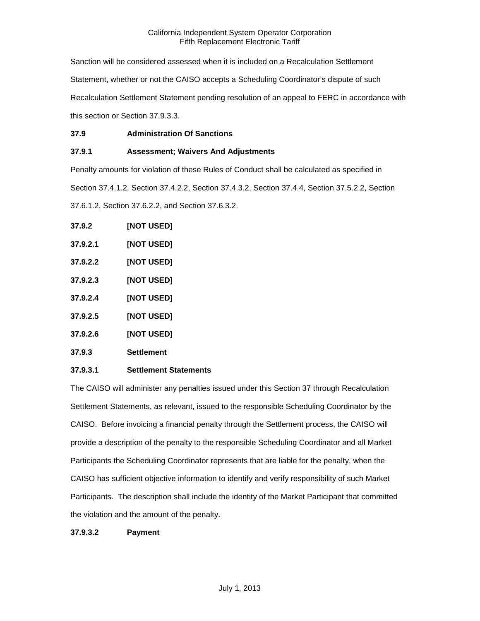Sanction will be considered assessed when it is included on a Recalculation Settlement Statement, whether or not the CAISO accepts a Scheduling Coordinator's dispute of such Recalculation Settlement Statement pending resolution of an appeal to FERC in accordance with this section or Section 37.9.3.3.

# <span id="page-11-0"></span>**37.9 Administration Of Sanctions**

# <span id="page-11-1"></span>**37.9.1 Assessment; Waivers And Adjustments**

Penalty amounts for violation of these Rules of Conduct shall be calculated as specified in Section 37.4.1.2, Section 37.4.2.2, Section 37.4.3.2, Section 37.4.4, Section 37.5.2.2, Section

37.6.1.2, Section 37.6.2.2, and Section 37.6.3.2.

<span id="page-11-2"></span>

| 37.9.2   | [NOT USED]                   |
|----------|------------------------------|
| 37.9.2.1 | [NOT USED]                   |
| 37.9.2.2 | [NOT USED]                   |
| 37.9.2.3 | [NOT USED]                   |
| 37.9.2.4 | <b>[NOT USED]</b>            |
| 37.9.2.5 | [NOT USED]                   |
| 37.9.2.6 | <b>[NOT USED]</b>            |
| 37.9.3   | Settlement                   |
| 37.9.3.1 | <b>Settlement Statements</b> |

<span id="page-11-3"></span>The CAISO will administer any penalties issued under this Section 37 through Recalculation Settlement Statements, as relevant, issued to the responsible Scheduling Coordinator by the CAISO. Before invoicing a financial penalty through the Settlement process, the CAISO will provide a description of the penalty to the responsible Scheduling Coordinator and all Market Participants the Scheduling Coordinator represents that are liable for the penalty, when the CAISO has sufficient objective information to identify and verify responsibility of such Market Participants. The description shall include the identity of the Market Participant that committed the violation and the amount of the penalty.

**37.9.3.2 Payment**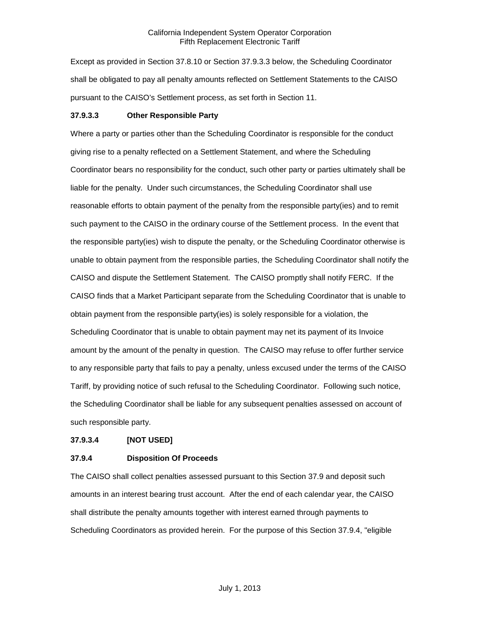Except as provided in Section 37.8.10 or Section 37.9.3.3 below, the Scheduling Coordinator shall be obligated to pay all penalty amounts reflected on Settlement Statements to the CAISO pursuant to the CAISO's Settlement process, as set forth in Section 11.

#### **37.9.3.3 Other Responsible Party**

Where a party or parties other than the Scheduling Coordinator is responsible for the conduct giving rise to a penalty reflected on a Settlement Statement, and where the Scheduling Coordinator bears no responsibility for the conduct, such other party or parties ultimately shall be liable for the penalty. Under such circumstances, the Scheduling Coordinator shall use reasonable efforts to obtain payment of the penalty from the responsible party(ies) and to remit such payment to the CAISO in the ordinary course of the Settlement process. In the event that the responsible party(ies) wish to dispute the penalty, or the Scheduling Coordinator otherwise is unable to obtain payment from the responsible parties, the Scheduling Coordinator shall notify the CAISO and dispute the Settlement Statement. The CAISO promptly shall notify FERC. If the CAISO finds that a Market Participant separate from the Scheduling Coordinator that is unable to obtain payment from the responsible party(ies) is solely responsible for a violation, the Scheduling Coordinator that is unable to obtain payment may net its payment of its Invoice amount by the amount of the penalty in question. The CAISO may refuse to offer further service to any responsible party that fails to pay a penalty, unless excused under the terms of the CAISO Tariff, by providing notice of such refusal to the Scheduling Coordinator. Following such notice, the Scheduling Coordinator shall be liable for any subsequent penalties assessed on account of such responsible party.

#### **37.9.3.4 [NOT USED]**

#### <span id="page-12-0"></span>**37.9.4 Disposition Of Proceeds**

The CAISO shall collect penalties assessed pursuant to this Section 37.9 and deposit such amounts in an interest bearing trust account. After the end of each calendar year, the CAISO shall distribute the penalty amounts together with interest earned through payments to Scheduling Coordinators as provided herein. For the purpose of this Section 37.9.4, "eligible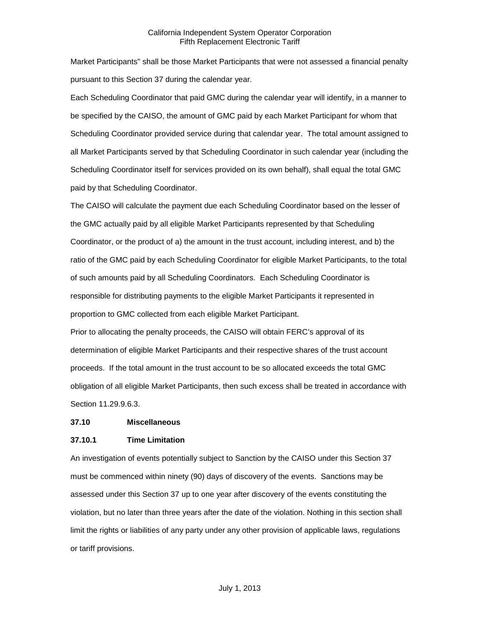Market Participants" shall be those Market Participants that were not assessed a financial penalty pursuant to this Section 37 during the calendar year.

Each Scheduling Coordinator that paid GMC during the calendar year will identify, in a manner to be specified by the CAISO, the amount of GMC paid by each Market Participant for whom that Scheduling Coordinator provided service during that calendar year. The total amount assigned to all Market Participants served by that Scheduling Coordinator in such calendar year (including the Scheduling Coordinator itself for services provided on its own behalf), shall equal the total GMC paid by that Scheduling Coordinator.

The CAISO will calculate the payment due each Scheduling Coordinator based on the lesser of the GMC actually paid by all eligible Market Participants represented by that Scheduling Coordinator, or the product of a) the amount in the trust account, including interest, and b) the ratio of the GMC paid by each Scheduling Coordinator for eligible Market Participants, to the total of such amounts paid by all Scheduling Coordinators. Each Scheduling Coordinator is responsible for distributing payments to the eligible Market Participants it represented in proportion to GMC collected from each eligible Market Participant.

Prior to allocating the penalty proceeds, the CAISO will obtain FERC's approval of its determination of eligible Market Participants and their respective shares of the trust account proceeds. If the total amount in the trust account to be so allocated exceeds the total GMC obligation of all eligible Market Participants, then such excess shall be treated in accordance with Section 11.29.9.6.3.

#### <span id="page-13-0"></span>**37.10 Miscellaneous**

#### <span id="page-13-1"></span>**37.10.1 Time Limitation**

An investigation of events potentially subject to Sanction by the CAISO under this Section 37 must be commenced within ninety (90) days of discovery of the events. Sanctions may be assessed under this Section 37 up to one year after discovery of the events constituting the violation, but no later than three years after the date of the violation. Nothing in this section shall limit the rights or liabilities of any party under any other provision of applicable laws, regulations or tariff provisions.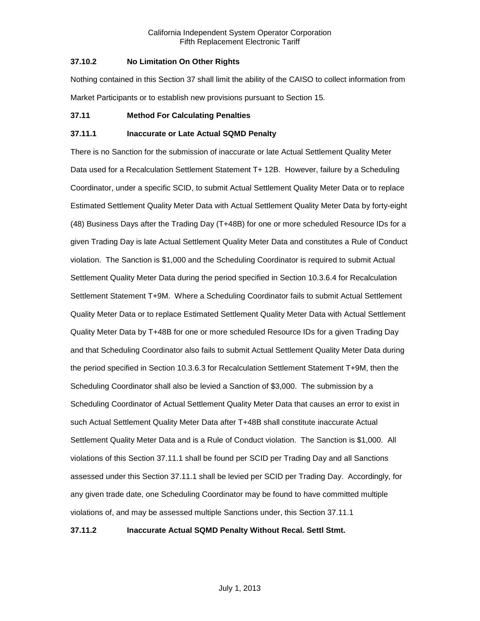## <span id="page-14-0"></span>**37.10.2 No Limitation On Other Rights**

Nothing contained in this Section 37 shall limit the ability of the CAISO to collect information from Market Participants or to establish new provisions pursuant to Section 15.

## <span id="page-14-1"></span>**37.11 Method For Calculating Penalties**

## <span id="page-14-2"></span>**37.11.1 Inaccurate or Late Actual SQMD Penalty**

There is no Sanction for the submission of inaccurate or late Actual Settlement Quality Meter Data used for a Recalculation Settlement Statement T+ 12B. However, failure by a Scheduling Coordinator, under a specific SCID, to submit Actual Settlement Quality Meter Data or to replace Estimated Settlement Quality Meter Data with Actual Settlement Quality Meter Data by forty-eight (48) Business Days after the Trading Day (T+48B) for one or more scheduled Resource IDs for a given Trading Day is late Actual Settlement Quality Meter Data and constitutes a Rule of Conduct violation. The Sanction is \$1,000 and the Scheduling Coordinator is required to submit Actual Settlement Quality Meter Data during the period specified in Section 10.3.6.4 for Recalculation Settlement Statement T+9M. Where a Scheduling Coordinator fails to submit Actual Settlement Quality Meter Data or to replace Estimated Settlement Quality Meter Data with Actual Settlement Quality Meter Data by T+48B for one or more scheduled Resource IDs for a given Trading Day and that Scheduling Coordinator also fails to submit Actual Settlement Quality Meter Data during the period specified in Section 10.3.6.3 for Recalculation Settlement Statement T+9M, then the Scheduling Coordinator shall also be levied a Sanction of \$3,000. The submission by a Scheduling Coordinator of Actual Settlement Quality Meter Data that causes an error to exist in such Actual Settlement Quality Meter Data after T+48B shall constitute inaccurate Actual Settlement Quality Meter Data and is a Rule of Conduct violation. The Sanction is \$1,000. All violations of this Section 37.11.1 shall be found per SCID per Trading Day and all Sanctions assessed under this Section 37.11.1 shall be levied per SCID per Trading Day. Accordingly, for any given trade date, one Scheduling Coordinator may be found to have committed multiple violations of, and may be assessed multiple Sanctions under, this Section 37.11.1

<span id="page-14-3"></span>**37.11.2 Inaccurate Actual SQMD Penalty Without Recal. Settl Stmt.**